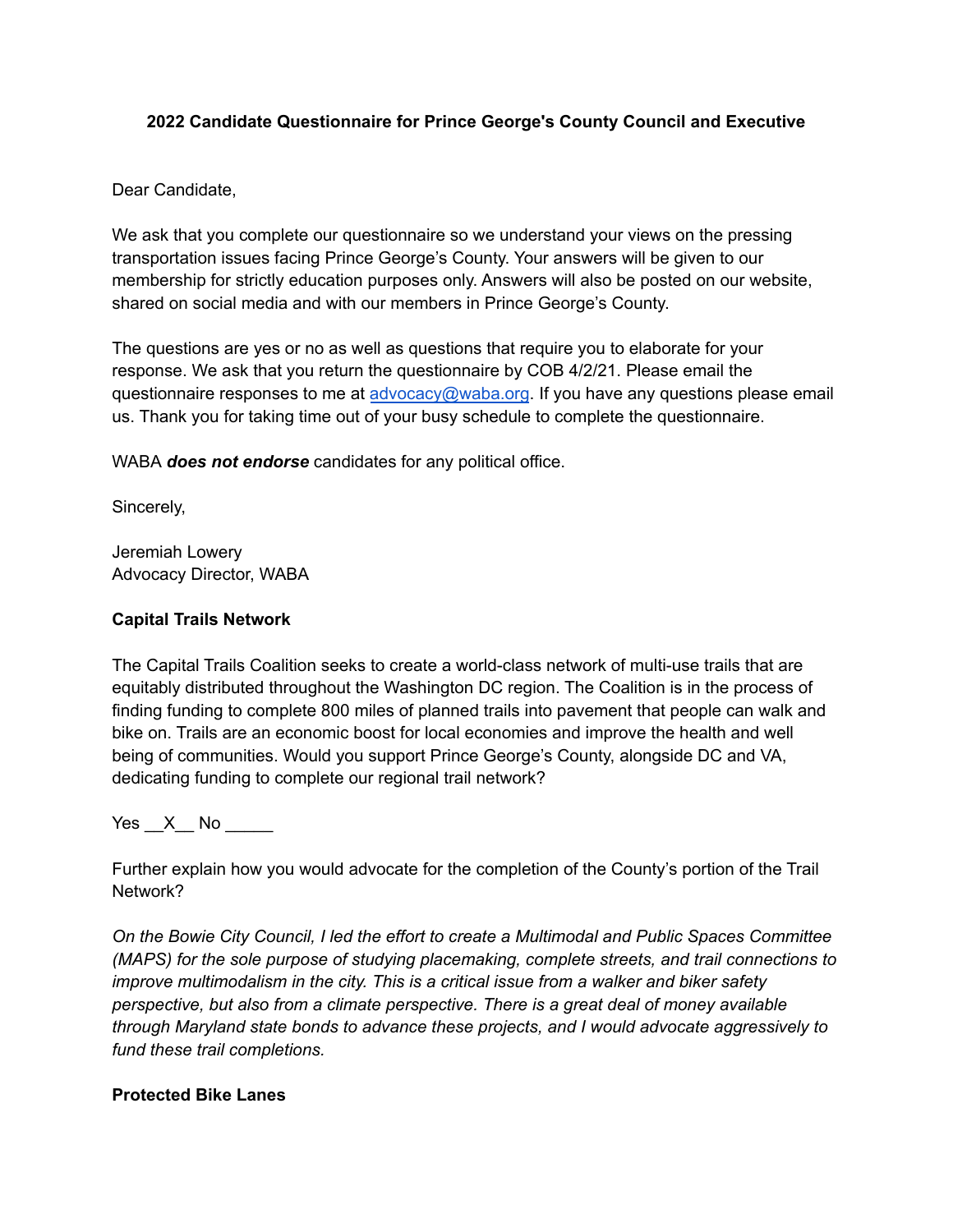## **2022 Candidate Questionnaire for Prince George's County Council and Executive**

Dear Candidate,

We ask that you complete our questionnaire so we understand your views on the pressing transportation issues facing Prince George's County. Your answers will be given to our membership for strictly education purposes only. Answers will also be posted on our website, shared on social media and with our members in Prince George's County.

The questions are yes or no as well as questions that require you to elaborate for your response. We ask that you return the questionnaire by COB 4/2/21. Please email the questionnaire responses to me at [advocacy@waba.org](mailto:advocacy@waba.org). If you have any questions please email us. Thank you for taking time out of your busy schedule to complete the questionnaire.

WABA *does not endorse* candidates for any political office.

Sincerely,

Jeremiah Lowery Advocacy Director, WABA

## **Capital Trails Network**

The Capital Trails Coalition seeks to create a world-class network of multi-use trails that are equitably distributed throughout the Washington DC region. The Coalition is in the process of finding funding to complete 800 miles of planned trails into pavement that people can walk and bike on. Trails are an economic boost for local economies and improve the health and well being of communities. Would you support Prince George's County, alongside DC and VA, dedicating funding to complete our regional trail network?

Yes  $X$  No  $\blacksquare$ 

Further explain how you would advocate for the completion of the County's portion of the Trail Network?

*On the Bowie City Council, I led the effort to create a Multimodal and Public Spaces Committee (MAPS) for the sole purpose of studying placemaking, complete streets, and trail connections to improve multimodalism in the city. This is a critical issue from a walker and biker safety perspective, but also from a climate perspective. There is a great deal of money available through Maryland state bonds to advance these projects, and I would advocate aggressively to fund these trail completions.*

# **Protected Bike Lanes**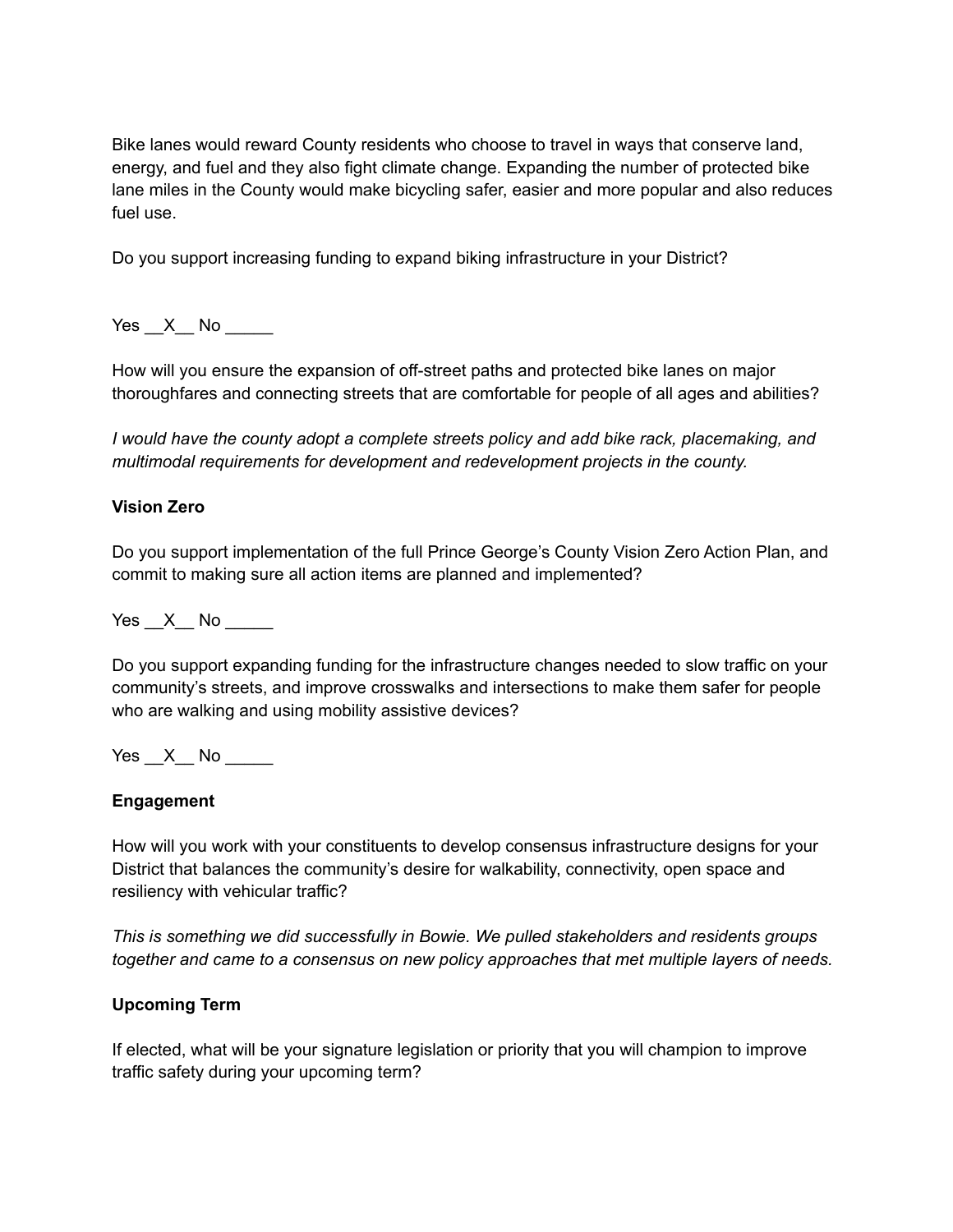Bike lanes would reward County residents who choose to travel in ways that conserve land, energy, and fuel and they also fight climate change. Expanding the number of protected bike lane miles in the County would make bicycling safer, easier and more popular and also reduces fuel use.

Do you support increasing funding to expand biking infrastructure in your District?

Yes  $X$  No

How will you ensure the expansion of off-street paths and protected bike lanes on major thoroughfares and connecting streets that are comfortable for people of all ages and abilities?

*I would have the county adopt a complete streets policy and add bike rack, placemaking, and multimodal requirements for development and redevelopment projects in the county.*

#### **Vision Zero**

Do you support implementation of the full Prince George's County Vision Zero Action Plan, and commit to making sure all action items are planned and implemented?

Yes  $X$  No  $\blacksquare$ 

Do you support expanding funding for the infrastructure changes needed to slow traffic on your community's streets, and improve crosswalks and intersections to make them safer for people who are walking and using mobility assistive devices?

Yes X No  $\blacksquare$ 

#### **Engagement**

How will you work with your constituents to develop consensus infrastructure designs for your District that balances the community's desire for walkability, connectivity, open space and resiliency with vehicular traffic?

*This is something we did successfully in Bowie. We pulled stakeholders and residents groups together and came to a consensus on new policy approaches that met multiple layers of needs.*

#### **Upcoming Term**

If elected, what will be your signature legislation or priority that you will champion to improve traffic safety during your upcoming term?